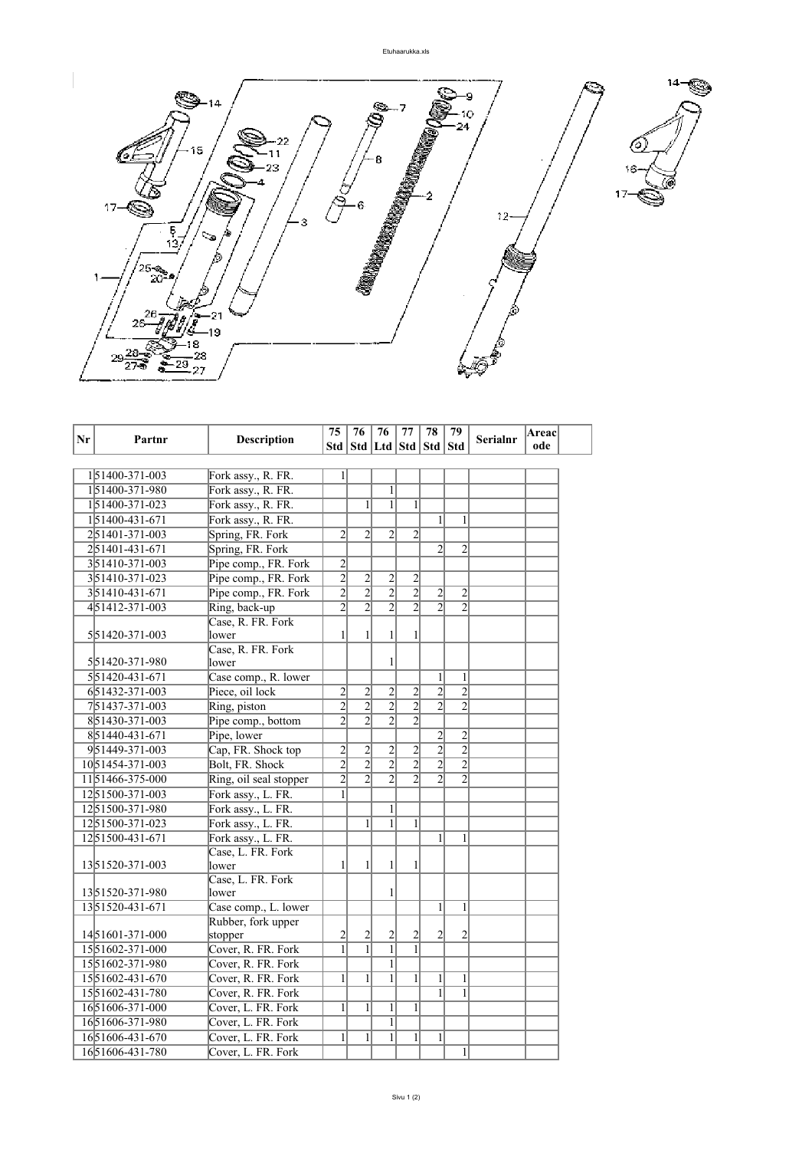

| Nr | Partnr                      | <b>Description</b>     | 75             | 76             | 76<br>77                          |                | 78                      | 79             | <b>Serialnr</b> | <b>Areac</b> |  |
|----|-----------------------------|------------------------|----------------|----------------|-----------------------------------|----------------|-------------------------|----------------|-----------------|--------------|--|
|    |                             |                        |                |                | Std   Std   Ltd   Std   Std   Std |                |                         |                |                 | ode          |  |
|    |                             |                        |                |                |                                   |                |                         |                |                 |              |  |
|    | 151400-371-003              | Fork assy., R. FR.     | $\mathbf{1}$   |                |                                   |                |                         |                |                 |              |  |
|    | 151400-371-980              | Fork assy., R. FR.     |                |                | $\mathbf{1}$                      |                |                         |                |                 |              |  |
|    | 151400-371-023              | Fork assy., R. FR.     |                | $\mathbf{1}$   | $\mathbf{1}$                      | $\mathbf{1}$   |                         |                |                 |              |  |
|    | 151400-431-671              | Fork assy., R. FR.     |                |                |                                   |                | $\mathbf{1}$            | 1              |                 |              |  |
|    | 251401-371-003              | Spring, FR. Fork       | $\overline{2}$ | $\overline{2}$ | $\overline{2}$                    | $\overline{2}$ |                         |                |                 |              |  |
|    | 251401-431-671              | Spring, FR. Fork       |                |                |                                   |                | $\overline{2}$          | $\overline{2}$ |                 |              |  |
|    | 351410-371-003              | Pipe comp., FR. Fork   | $rac{2}{2}$    |                |                                   |                |                         |                |                 |              |  |
|    | 351410-371-023              | Pipe comp., FR. Fork   |                | $\frac{2}{2}$  | $\frac{2}{2}$                     | $\overline{c}$ |                         |                |                 |              |  |
|    | 351410-431-671              | Pipe comp., FR. Fork   | $\overline{2}$ |                |                                   | $\overline{2}$ | $\overline{\mathbf{c}}$ | $\overline{2}$ |                 |              |  |
|    | 451412-371-003              | Ring, back-up          | $\overline{2}$ | $\overline{2}$ | $\overline{2}$                    | $\overline{2}$ | $\overline{2}$          | $\overline{2}$ |                 |              |  |
|    |                             | Case, R. FR. Fork      |                |                |                                   |                |                         |                |                 |              |  |
|    | 551420-371-003              | lower                  | $\mathbf{1}$   | 1              | 1                                 | 1              |                         |                |                 |              |  |
|    |                             | Case, R. FR. Fork      |                |                |                                   |                |                         |                |                 |              |  |
|    | 551420-371-980              | lower                  |                |                | 1                                 |                |                         |                |                 |              |  |
|    | 551420-431-671              | Case comp., R. lower   |                |                |                                   |                | $\mathbf{1}$            | 1              |                 |              |  |
|    | 651432-371-003              | Piece, oil lock        | $\overline{2}$ | $\overline{c}$ | $\overline{2}$                    | $\overline{2}$ | $\overline{2}$          | $\overline{2}$ |                 |              |  |
|    | 751437-371-003              | Ring, piston           | $\overline{2}$ | $\overline{2}$ | $\overline{2}$                    | $\overline{2}$ | $\overline{2}$          | $\overline{2}$ |                 |              |  |
|    | 851430-371-003              | Pipe comp., bottom     | $\overline{2}$ | $\overline{2}$ | $\overline{2}$                    | $\overline{c}$ |                         |                |                 |              |  |
|    | 851440-431-671              | Pipe, lower            |                |                |                                   |                | $\overline{c}$          | $\overline{2}$ |                 |              |  |
|    | 951449-371-003              | Cap, FR. Shock top     | $\overline{2}$ | $\overline{c}$ | $\overline{c}$                    | $\overline{c}$ | $\overline{2}$          | $\overline{2}$ |                 |              |  |
|    | 1051454-371-003             | Bolt, FR. Shock        | $\overline{2}$ | $\overline{2}$ | $\overline{2}$                    | $\overline{2}$ | $\overline{2}$          | $\overline{2}$ |                 |              |  |
|    | 1151466-375-000             | Ring, oil seal stopper | $\overline{2}$ | $\overline{2}$ | $\overline{2}$                    | $\overline{2}$ | $\overline{2}$          | $\overline{2}$ |                 |              |  |
|    | 1251500-371-003             | Fork assy., L. FR.     | 1              |                |                                   |                |                         |                |                 |              |  |
|    | 1251500-371-980             | Fork assy., L. FR.     |                |                | $\mathbf{1}$                      |                |                         |                |                 |              |  |
|    | 1251500-371-023             | Fork assy., L. FR.     |                | $\mathbf{1}$   | $\mathbf{1}$                      | $\mathbf{1}$   |                         |                |                 |              |  |
|    | 1251500-431-671             | Fork assy., L. FR.     |                |                |                                   |                | $\mathbf{1}$            | 1              |                 |              |  |
|    |                             | Case, L. FR. Fork      |                |                |                                   |                |                         |                |                 |              |  |
|    | 1351520-371-003             | lower                  | 1              | 1              | 1                                 | 1              |                         |                |                 |              |  |
|    |                             | Case, L. FR. Fork      |                |                |                                   |                |                         |                |                 |              |  |
|    | 1351520-371-980             | lower                  |                |                | 1                                 |                |                         |                |                 |              |  |
|    | 1351520-431-671             | Case comp., L. lower   |                |                |                                   |                | $\mathbf{1}$            | $\mathbf{1}$   |                 |              |  |
|    |                             | Rubber, fork upper     |                |                |                                   |                |                         |                |                 |              |  |
|    | 1451601-371-000             | stopper                | $\overline{c}$ | $\overline{c}$ | $\overline{c}$                    | $\overline{c}$ | 2                       | $\overline{c}$ |                 |              |  |
|    | 1551602-371-000             | Cover, R. FR. Fork     | $\overline{1}$ | $\overline{1}$ | $\overline{1}$                    | $\overline{1}$ |                         |                |                 |              |  |
|    | 1551602-371-980             | Cover, R. FR. Fork     |                |                | $\mathbf{1}$                      |                |                         |                |                 |              |  |
|    | 15 51602-431-670            | Cover, R. FR. Fork     | $\mathbf{1}$   | $\mathbf{1}$   | $\mathbf{1}$                      | 1              | $\mathbf{1}$            | 1              |                 |              |  |
|    | 15 5 16 0 2 - 4 3 1 - 7 8 0 | Cover, R. FR. Fork     |                |                |                                   |                | 1                       | 1              |                 |              |  |
|    | 1651606-371-000             | Cover, L. FR. Fork     | $\mathbf{1}$   | $\mathbf{1}$   | $\mathbf{1}$                      | 1              |                         |                |                 |              |  |
|    | 1651606-371-980             | Cover, L. FR. Fork     |                |                | $\mathbf{1}$                      |                |                         |                |                 |              |  |
|    | 1651606-431-670             | Cover, L. FR. Fork     | $\mathbf{1}$   | $\mathbf{1}$   | $\mathbf{1}$                      | $\mathbf{1}$   | $\mathbf{1}$            |                |                 |              |  |
|    | 1651606-431-780             | Cover, L. FR. Fork     |                |                |                                   |                |                         | $\mathbf{1}$   |                 |              |  |